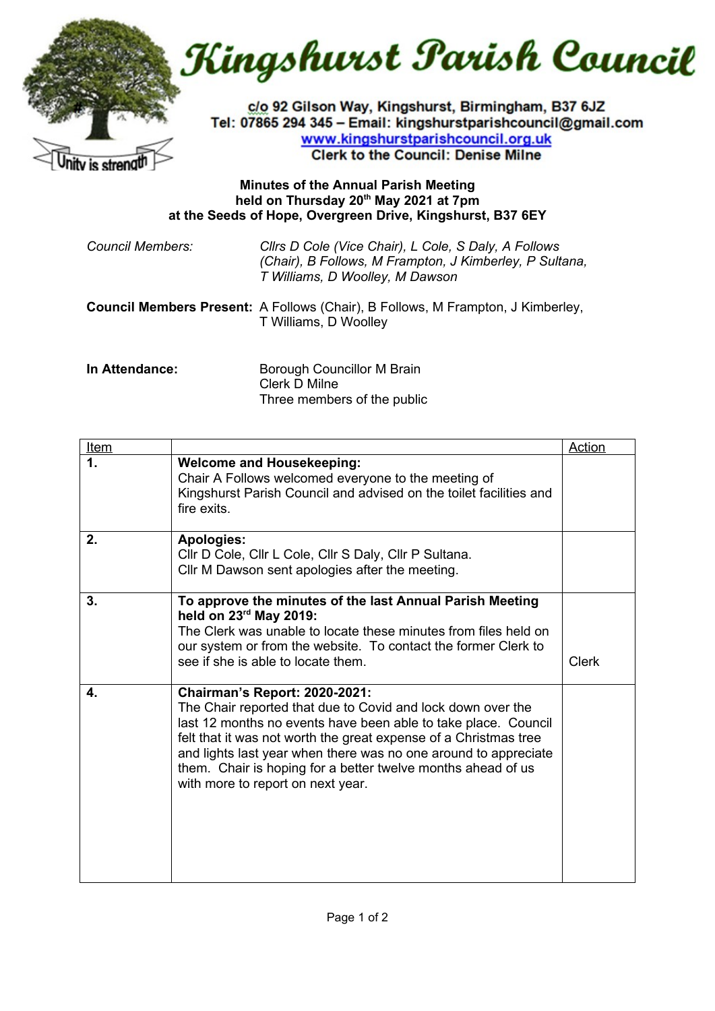

Kingshurst Parish Council

c/o 92 Gilson Way, Kingshurst, Birmingham, B37 6JZ Tel: 07865 294 345 - Email: kingshurstparishcouncil@gmail.com www.kingshurstparishcouncil.org.uk **Clerk to the Council: Denise Milne** 

## **Minutes of the Annual Parish Meeting held on Thursday 20th May 2021 at 7pm at the Seeds of Hope, Overgreen Drive, Kingshurst, B37 6EY**

*Council Members: Cllrs D Cole (Vice Chair), L Cole, S Daly, A Follows (Chair), B Follows, M Frampton, J Kimberley, P Sultana, T Williams, D Woolley, M Dawson*

**Council Members Present:** A Follows (Chair), B Follows, M Frampton, J Kimberley, T Williams, D Woolley

**In Attendance: Borough Councillor M Brain** Clerk D Milne Three members of the public

| <u>Item</u> |                                                                                                                                                                                                                                                                                                                                                                                                                   | <b>Action</b> |
|-------------|-------------------------------------------------------------------------------------------------------------------------------------------------------------------------------------------------------------------------------------------------------------------------------------------------------------------------------------------------------------------------------------------------------------------|---------------|
| 1.          | <b>Welcome and Housekeeping:</b><br>Chair A Follows welcomed everyone to the meeting of<br>Kingshurst Parish Council and advised on the toilet facilities and<br>fire exits.                                                                                                                                                                                                                                      |               |
| 2.          | <b>Apologies:</b><br>Cllr D Cole, Cllr L Cole, Cllr S Daly, Cllr P Sultana.<br>Cllr M Dawson sent apologies after the meeting.                                                                                                                                                                                                                                                                                    |               |
| 3.          | To approve the minutes of the last Annual Parish Meeting<br>held on 23rd May 2019:<br>The Clerk was unable to locate these minutes from files held on<br>our system or from the website. To contact the former Clerk to<br>see if she is able to locate them.                                                                                                                                                     | <b>Clerk</b>  |
| 4.          | <b>Chairman's Report: 2020-2021:</b><br>The Chair reported that due to Covid and lock down over the<br>last 12 months no events have been able to take place. Council<br>felt that it was not worth the great expense of a Christmas tree<br>and lights last year when there was no one around to appreciate<br>them. Chair is hoping for a better twelve months ahead of us<br>with more to report on next year. |               |